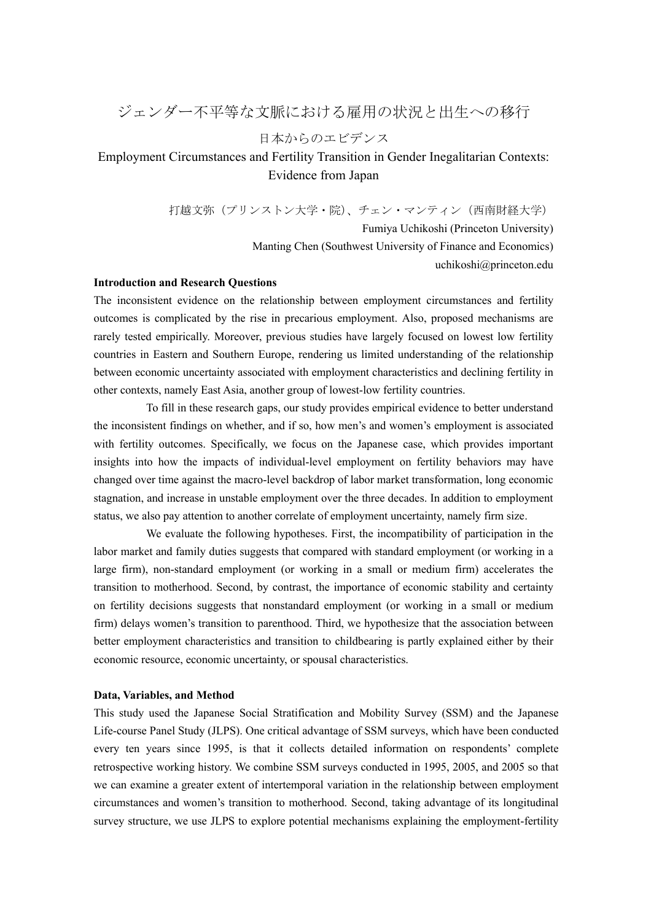# ジェンダー不平等な文脈における雇用の状況と出生への移行

### 日本からのエビデンス

## Employment Circumstances and Fertility Transition in Gender Inegalitarian Contexts: Evidence from Japan

打越文弥(プリンストン大学・院)、チェン・マンティン(西南財経大学)

Fumiya Uchikoshi (Princeton University) Manting Chen (Southwest University of Finance and Economics) uchikoshi@princeton.edu

#### **Introduction and Research Questions**

The inconsistent evidence on the relationship between employment circumstances and fertility outcomes is complicated by the rise in precarious employment. Also, proposed mechanisms are rarely tested empirically. Moreover, previous studies have largely focused on lowest low fertility countries in Eastern and Southern Europe, rendering us limited understanding of the relationship between economic uncertainty associated with employment characteristics and declining fertility in other contexts, namely East Asia, another group of lowest-low fertility countries.

To fill in these research gaps, our study provides empirical evidence to better understand the inconsistent findings on whether, and if so, how men's and women's employment is associated with fertility outcomes. Specifically, we focus on the Japanese case, which provides important insights into how the impacts of individual-level employment on fertility behaviors may have changed over time against the macro-level backdrop of labor market transformation, long economic stagnation, and increase in unstable employment over the three decades. In addition to employment status, we also pay attention to another correlate of employment uncertainty, namely firm size.

We evaluate the following hypotheses. First, the incompatibility of participation in the labor market and family duties suggests that compared with standard employment (or working in a large firm), non-standard employment (or working in a small or medium firm) accelerates the transition to motherhood. Second, by contrast, the importance of economic stability and certainty on fertility decisions suggests that nonstandard employment (or working in a small or medium firm) delays women's transition to parenthood. Third, we hypothesize that the association between better employment characteristics and transition to childbearing is partly explained either by their economic resource, economic uncertainty, or spousal characteristics.

#### **Data, Variables, and Method**

This study used the Japanese Social Stratification and Mobility Survey (SSM) and the Japanese Life-course Panel Study (JLPS). One critical advantage of SSM surveys, which have been conducted every ten years since 1995, is that it collects detailed information on respondents' complete retrospective working history. We combine SSM surveys conducted in 1995, 2005, and 2005 so that we can examine a greater extent of intertemporal variation in the relationship between employment circumstances and women's transition to motherhood. Second, taking advantage of its longitudinal survey structure, we use JLPS to explore potential mechanisms explaining the employment-fertility